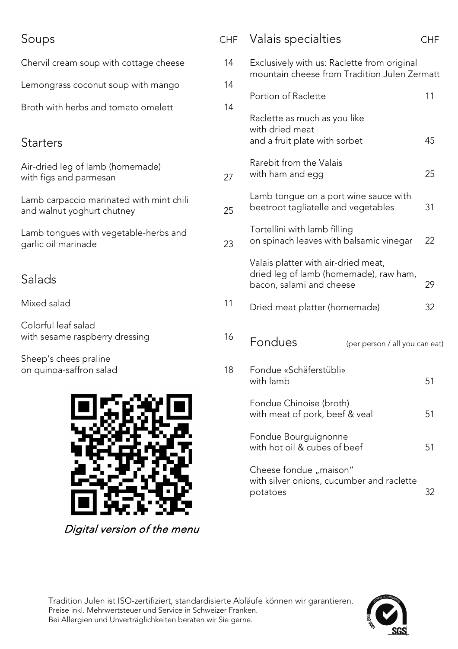## Soups CHF Chervil cream soup with cottage cheese 14 Lemongrass coconut soup with mango 14 Broth with herbs and tomato omelett 14 **Starters** Air-dried leg of lamb (homemade) with figs and parmesan 27 Lamb carpaccio marinated with mint chili and walnut yoghurt chutney and walnut yoghurt chutney Lamb tongues with vegetable-herbs and garlic oil marinade 23 Salads Mixed salad 11 Colorful leaf salad with sesame raspberry dressing and the 16 Sheep's chees praline on quinoa-saffron salad 18 Valais specialties CHF Exclusively with us: Raclette from original mountain cheese from Tradition Julen Zermatt Portion of Raclette 11 Raclette as much as you like with dried meat and a fruit plate with sorbet and a 45 Rarebit from the Valais with ham and egg extending the state of the 25 Lamb tongue on a port wine sauce with beetroot tagliatelle and vegetables 31 Tortellini with lamb filling on spinach leaves with balsamic vinegar 22 Valais platter with air-dried meat, dried leg of lamb (homemade), raw ham, bacon, salami and cheese 29 Dried meat platter (homemade) 32 Fondues (per person / all you can eat) Fondue «Schäferstübli» with lamb 51 Fondue Chinoise (broth) with meat of pork, beef & veal 51 Fondue Bourguignonne with hot oil & cubes of beef 51 Cheese fondue "maison" with silver onions, cucumber and raclette

Tradition Julen ist ISO-zertifiziert, standardisierte Abläufe können wir garantieren. Preise inkl. Mehrwertsteuer und Service in Schweizer Franken. Bei Allergien und Unverträglichkeiten beraten wir Sie gerne.

Digital version of the menu



potatoes 32